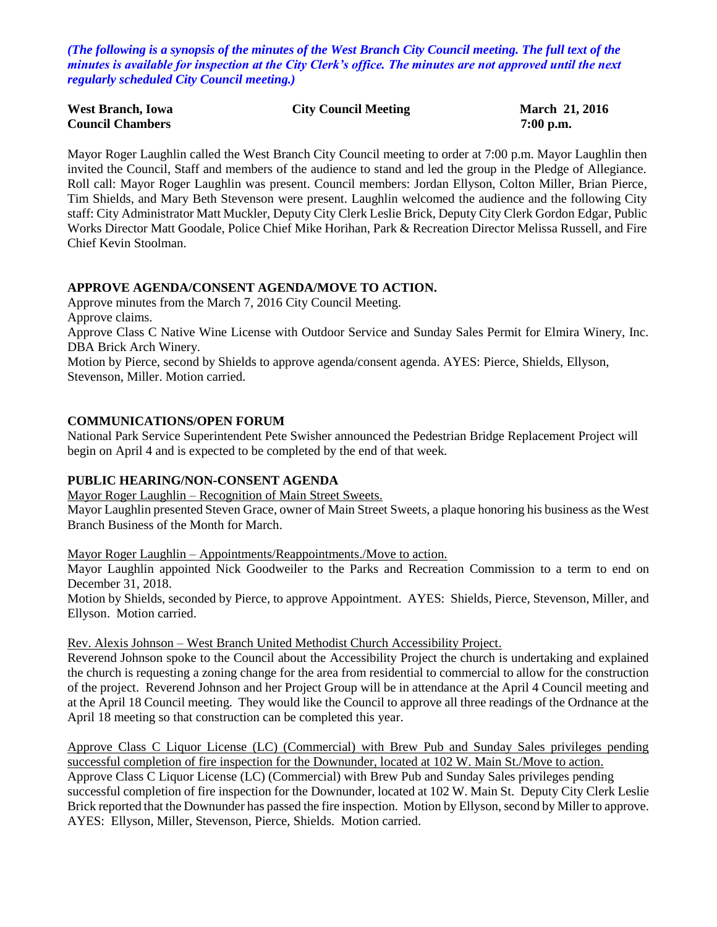*(The following is a synopsis of the minutes of the West Branch City Council meeting. The full text of the minutes is available for inspection at the City Clerk's office. The minutes are not approved until the next regularly scheduled City Council meeting.)*

| <b>West Branch, Iowa</b> | <b>City Council Meeting</b> | March 21, 2016 |
|--------------------------|-----------------------------|----------------|
| <b>Council Chambers</b>  |                             | $7:00$ p.m.    |

Mayor Roger Laughlin called the West Branch City Council meeting to order at 7:00 p.m. Mayor Laughlin then invited the Council, Staff and members of the audience to stand and led the group in the Pledge of Allegiance. Roll call: Mayor Roger Laughlin was present. Council members: Jordan Ellyson, Colton Miller, Brian Pierce, Tim Shields, and Mary Beth Stevenson were present. Laughlin welcomed the audience and the following City staff: City Administrator Matt Muckler, Deputy City Clerk Leslie Brick, Deputy City Clerk Gordon Edgar, Public Works Director Matt Goodale, Police Chief Mike Horihan, Park & Recreation Director Melissa Russell, and Fire Chief Kevin Stoolman.

### **APPROVE AGENDA/CONSENT AGENDA/MOVE TO ACTION.**

Approve minutes from the March 7, 2016 City Council Meeting. Approve claims.

Approve Class C Native Wine License with Outdoor Service and Sunday Sales Permit for Elmira Winery, Inc. DBA Brick Arch Winery.

Motion by Pierce, second by Shields to approve agenda/consent agenda. AYES: Pierce, Shields, Ellyson, Stevenson, Miller. Motion carried.

### **COMMUNICATIONS/OPEN FORUM**

National Park Service Superintendent Pete Swisher announced the Pedestrian Bridge Replacement Project will begin on April 4 and is expected to be completed by the end of that week.

#### **PUBLIC HEARING/NON-CONSENT AGENDA**

Mayor Roger Laughlin – Recognition of Main Street Sweets.

Mayor Laughlin presented Steven Grace, owner of Main Street Sweets, a plaque honoring his business as the West Branch Business of the Month for March.

Mayor Roger Laughlin – Appointments/Reappointments./Move to action.

Mayor Laughlin appointed Nick Goodweiler to the Parks and Recreation Commission to a term to end on December 31, 2018.

Motion by Shields, seconded by Pierce, to approve Appointment. AYES: Shields, Pierce, Stevenson, Miller, and Ellyson. Motion carried.

Rev. Alexis Johnson – West Branch United Methodist Church Accessibility Project.

Reverend Johnson spoke to the Council about the Accessibility Project the church is undertaking and explained the church is requesting a zoning change for the area from residential to commercial to allow for the construction of the project. Reverend Johnson and her Project Group will be in attendance at the April 4 Council meeting and at the April 18 Council meeting. They would like the Council to approve all three readings of the Ordnance at the April 18 meeting so that construction can be completed this year.

Approve Class C Liquor License (LC) (Commercial) with Brew Pub and Sunday Sales privileges pending successful completion of fire inspection for the Downunder, located at 102 W. Main St./Move to action.

Approve Class C Liquor License (LC) (Commercial) with Brew Pub and Sunday Sales privileges pending successful completion of fire inspection for the Downunder, located at 102 W. Main St. Deputy City Clerk Leslie Brick reported that the Downunder has passed the fire inspection. Motion by Ellyson, second by Miller to approve. AYES: Ellyson, Miller, Stevenson, Pierce, Shields. Motion carried.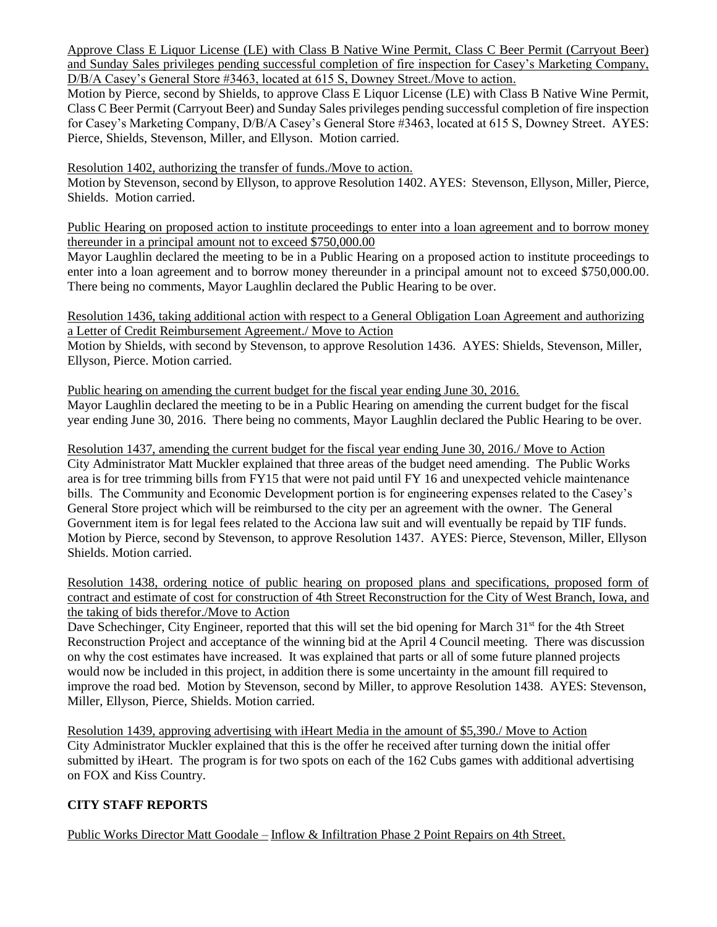Approve Class E Liquor License (LE) with Class B Native Wine Permit, Class C Beer Permit (Carryout Beer) and Sunday Sales privileges pending successful completion of fire inspection for Casey's Marketing Company, D/B/A Casey's General Store #3463, located at 615 S, Downey Street. Move to action.

Motion by Pierce, second by Shields, to approve Class E Liquor License (LE) with Class B Native Wine Permit, Class C Beer Permit (Carryout Beer) and Sunday Sales privileges pending successful completion of fire inspection for Casey's Marketing Company, D/B/A Casey's General Store #3463, located at 615 S, Downey Street. AYES: Pierce, Shields, Stevenson, Miller, and Ellyson. Motion carried.

Resolution 1402, authorizing the transfer of funds./Move to action.

Motion by Stevenson, second by Ellyson, to approve Resolution 1402. AYES: Stevenson, Ellyson, Miller, Pierce, Shields. Motion carried.

Public Hearing on proposed action to institute proceedings to enter into a loan agreement and to borrow money thereunder in a principal amount not to exceed \$750,000.00

Mayor Laughlin declared the meeting to be in a Public Hearing on a proposed action to institute proceedings to enter into a loan agreement and to borrow money thereunder in a principal amount not to exceed \$750,000.00. There being no comments, Mayor Laughlin declared the Public Hearing to be over.

Resolution 1436, taking additional action with respect to a General Obligation Loan Agreement and authorizing a Letter of Credit Reimbursement Agreement./ Move to Action

Motion by Shields, with second by Stevenson, to approve Resolution 1436. AYES: Shields, Stevenson, Miller, Ellyson, Pierce. Motion carried.

Public hearing on amending the current budget for the fiscal year ending June 30, 2016. Mayor Laughlin declared the meeting to be in a Public Hearing on amending the current budget for the fiscal year ending June 30, 2016. There being no comments, Mayor Laughlin declared the Public Hearing to be over.

Resolution 1437, amending the current budget for the fiscal year ending June 30, 2016./ Move to Action City Administrator Matt Muckler explained that three areas of the budget need amending. The Public Works area is for tree trimming bills from FY15 that were not paid until FY 16 and unexpected vehicle maintenance bills. The Community and Economic Development portion is for engineering expenses related to the Casey's General Store project which will be reimbursed to the city per an agreement with the owner. The General Government item is for legal fees related to the Acciona law suit and will eventually be repaid by TIF funds. Motion by Pierce, second by Stevenson, to approve Resolution 1437. AYES: Pierce, Stevenson, Miller, Ellyson Shields. Motion carried.

Resolution 1438, ordering notice of public hearing on proposed plans and specifications, proposed form of contract and estimate of cost for construction of 4th Street Reconstruction for the City of West Branch, Iowa, and the taking of bids therefor./Move to Action

Dave Schechinger, City Engineer, reported that this will set the bid opening for March 31<sup>st</sup> for the 4th Street Reconstruction Project and acceptance of the winning bid at the April 4 Council meeting. There was discussion on why the cost estimates have increased. It was explained that parts or all of some future planned projects would now be included in this project, in addition there is some uncertainty in the amount fill required to improve the road bed. Motion by Stevenson, second by Miller, to approve Resolution 1438. AYES: Stevenson, Miller, Ellyson, Pierce, Shields. Motion carried.

Resolution 1439, approving advertising with iHeart Media in the amount of \$5,390./ Move to Action City Administrator Muckler explained that this is the offer he received after turning down the initial offer submitted by iHeart. The program is for two spots on each of the 162 Cubs games with additional advertising on FOX and Kiss Country.

# **CITY STAFF REPORTS**

Public Works Director Matt Goodale – Inflow & Infiltration Phase 2 Point Repairs on 4th Street.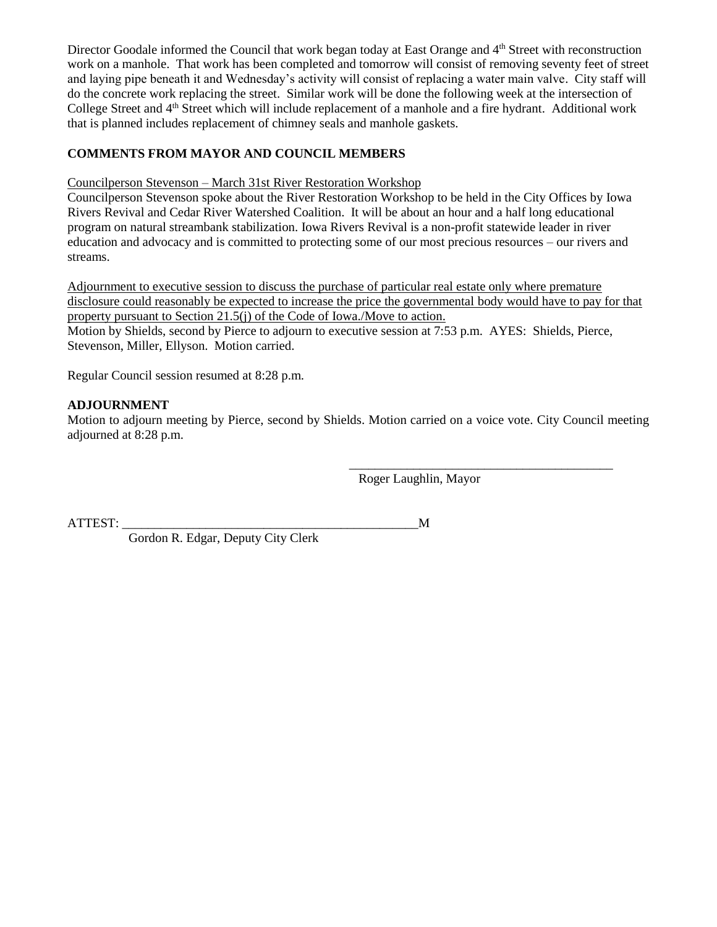Director Goodale informed the Council that work began today at East Orange and 4<sup>th</sup> Street with reconstruction work on a manhole. That work has been completed and tomorrow will consist of removing seventy feet of street and laying pipe beneath it and Wednesday's activity will consist of replacing a water main valve. City staff will do the concrete work replacing the street. Similar work will be done the following week at the intersection of College Street and 4<sup>th</sup> Street which will include replacement of a manhole and a fire hydrant. Additional work that is planned includes replacement of chimney seals and manhole gaskets.

## **COMMENTS FROM MAYOR AND COUNCIL MEMBERS**

### Councilperson Stevenson – March 31st River Restoration Workshop

Councilperson Stevenson spoke about the River Restoration Workshop to be held in the City Offices by Iowa Rivers Revival and Cedar River Watershed Coalition. It will be about an hour and a half long educational program on natural streambank stabilization. Iowa Rivers Revival is a non-profit statewide leader in river education and advocacy and is committed to protecting some of our most precious resources – our rivers and streams.

Adjournment to executive session to discuss the purchase of particular real estate only where premature disclosure could reasonably be expected to increase the price the governmental body would have to pay for that property pursuant to Section 21.5(j) of the Code of Iowa./Move to action.

Motion by Shields, second by Pierce to adjourn to executive session at 7:53 p.m. AYES: Shields, Pierce, Stevenson, Miller, Ellyson. Motion carried.

Regular Council session resumed at 8:28 p.m.

## **ADJOURNMENT**

Motion to adjourn meeting by Pierce, second by Shields. Motion carried on a voice vote. City Council meeting adjourned at 8:28 p.m.

> $\overline{\phantom{a}}$  ,  $\overline{\phantom{a}}$  ,  $\overline{\phantom{a}}$  ,  $\overline{\phantom{a}}$  ,  $\overline{\phantom{a}}$  ,  $\overline{\phantom{a}}$  ,  $\overline{\phantom{a}}$  ,  $\overline{\phantom{a}}$  ,  $\overline{\phantom{a}}$  ,  $\overline{\phantom{a}}$  ,  $\overline{\phantom{a}}$  ,  $\overline{\phantom{a}}$  ,  $\overline{\phantom{a}}$  ,  $\overline{\phantom{a}}$  ,  $\overline{\phantom{a}}$  ,  $\overline{\phantom{a}}$ Roger Laughlin, Mayor

ATTEST:  $\blacksquare$ 

Gordon R. Edgar, Deputy City Clerk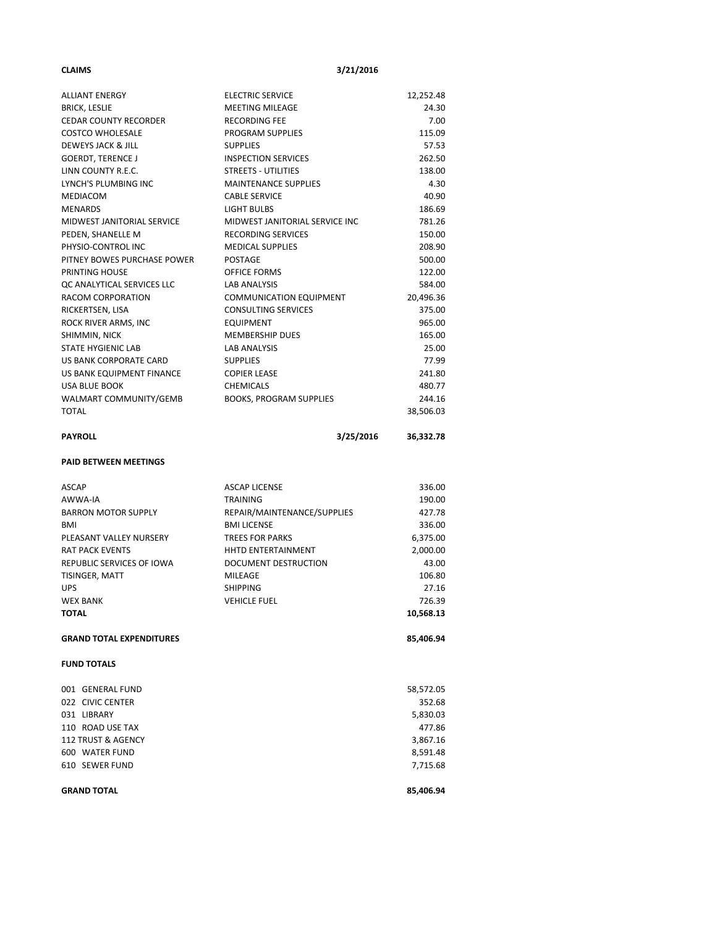#### **CLAIMS 3/21/2016**

| <b>ALLIANT ENERGY</b>                    | <b>ELECTRIC SERVICE</b>                      | 12,252.48       |
|------------------------------------------|----------------------------------------------|-----------------|
| <b>BRICK, LESLIE</b>                     | <b>MEETING MILEAGE</b>                       | 24.30           |
| <b>CEDAR COUNTY RECORDER</b>             | <b>RECORDING FEE</b>                         | 7.00            |
| <b>COSTCO WHOLESALE</b>                  | PROGRAM SUPPLIES                             | 115.09          |
| DEWEYS JACK & JILL                       | <b>SUPPLIES</b>                              | 57.53           |
| <b>GOERDT, TERENCE J</b>                 | <b>INSPECTION SERVICES</b>                   | 262.50          |
| LINN COUNTY R.E.C.                       | <b>STREETS - UTILITIES</b>                   | 138.00          |
| LYNCH'S PLUMBING INC                     | <b>MAINTENANCE SUPPLIES</b>                  | 4.30            |
| MEDIACOM                                 | <b>CABLE SERVICE</b>                         | 40.90           |
| <b>MENARDS</b>                           | <b>LIGHT BULBS</b>                           | 186.69          |
| MIDWEST JANITORIAL SERVICE               | MIDWEST JANITORIAL SERVICE INC               | 781.26          |
| PEDEN, SHANELLE M                        | RECORDING SERVICES                           | 150.00          |
| PHYSIO-CONTROL INC                       | <b>MEDICAL SUPPLIES</b>                      | 208.90          |
| PITNEY BOWES PURCHASE POWER              | POSTAGE                                      | 500.00          |
| PRINTING HOUSE                           | OFFICE FORMS                                 | 122.00          |
| QC ANALYTICAL SERVICES LLC               | LAB ANALYSIS                                 | 584.00          |
| RACOM CORPORATION                        | <b>COMMUNICATION EQUIPMENT</b>               | 20,496.36       |
| RICKERTSEN, LISA                         | <b>CONSULTING SERVICES</b>                   | 375.00          |
| ROCK RIVER ARMS, INC                     | <b>EQUIPMENT</b>                             | 965.00          |
| SHIMMIN, NICK                            | <b>MEMBERSHIP DUES</b>                       | 165.00          |
| STATE HYGIENIC LAB                       | LAB ANALYSIS                                 | 25.00           |
| US BANK CORPORATE CARD                   | <b>SUPPLIES</b>                              | 77.99           |
| US BANK EQUIPMENT FINANCE                | <b>COPIER LEASE</b>                          | 241.80          |
| <b>USA BLUE BOOK</b>                     | CHEMICALS                                    | 480.77          |
| WALMART COMMUNITY/GEMB                   | <b>BOOKS, PROGRAM SUPPLIES</b>               | 244.16          |
| <b>TOTAL</b>                             |                                              | 38,506.03       |
| <b>PAYROLL</b>                           | 3/25/2016                                    | 36,332.78       |
|                                          |                                              |                 |
| <b>PAID BETWEEN MEETINGS</b>             |                                              |                 |
|                                          |                                              |                 |
| <b>ASCAP</b>                             | <b>ASCAP LICENSE</b>                         | 336.00          |
| AWWA-IA                                  | <b>TRAINING</b>                              | 190.00          |
| <b>BARRON MOTOR SUPPLY</b><br><b>BMI</b> | REPAIR/MAINTENANCE/SUPPLIES                  | 427.78          |
|                                          | <b>BMI LICENSE</b><br><b>TREES FOR PARKS</b> | 336.00          |
| PLEASANT VALLEY NURSERY                  | HHTD ENTERTAINMENT                           | 6,375.00        |
| <b>RAT PACK EVENTS</b>                   |                                              | 2,000.00        |
| REPUBLIC SERVICES OF IOWA                | <b>DOCUMENT DESTRUCTION</b>                  | 43.00           |
| TISINGER, MATT<br><b>UPS</b>             | MILEAGE<br>SHIPPING                          | 106.80<br>27.16 |
| <b>WEX BANK</b>                          |                                              | 726.39          |
|                                          | <b>VEHICLE FUEL</b>                          |                 |
| <b>TOTAL</b>                             |                                              | 10,568.13       |
| <b>GRAND TOTAL EXPENDITURES</b>          |                                              | 85,406.94       |
| <b>FUND TOTALS</b>                       |                                              |                 |
| 001 GENERAL FUND                         |                                              | 58,572.05       |
| 022 CIVIC CENTER                         |                                              | 352.68          |
| 031 LIBRARY                              |                                              | 5,830.03        |
| 110 ROAD USE TAX                         |                                              | 477.86          |
| 112 TRUST & AGENCY                       |                                              | 3,867.16        |
| 600 WATER FUND                           |                                              | 8,591.48        |
| 610 SEWER FUND                           |                                              | 7,715.68        |